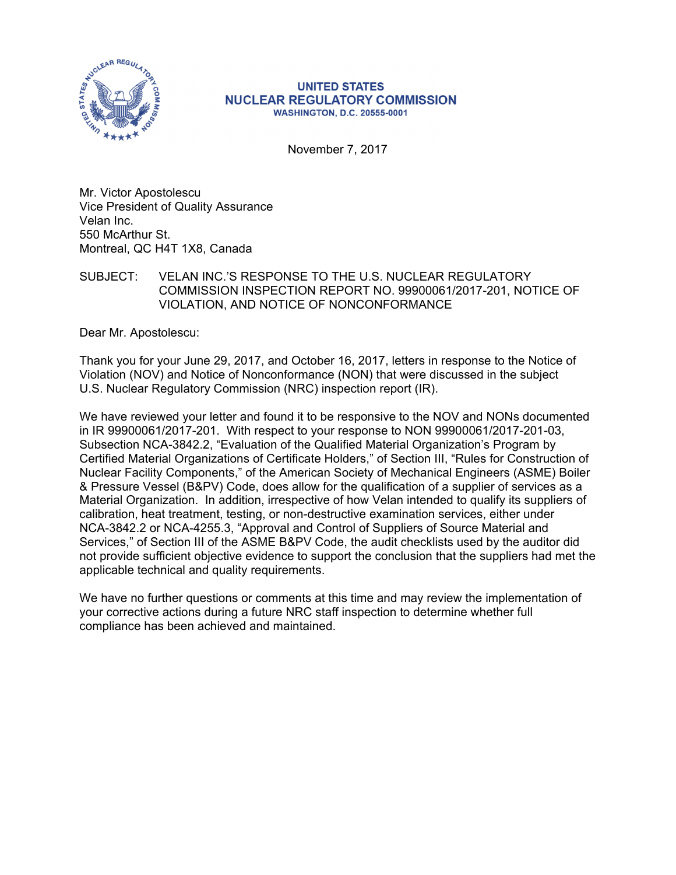

#### **UNITED STATES NUCLEAR REGULATORY COMMISSION WASHINGTON, D.C. 20555-0001**

November 7, 2017

Mr. Victor Apostolescu Vice President of Quality Assurance Velan Inc. 550 McArthur St. Montreal, QC H4T 1X8, Canada

## SUBJECT: VELAN INC.'S RESPONSE TO THE U.S. NUCLEAR REGULATORY COMMISSION INSPECTION REPORT NO. 99900061/2017-201, NOTICE OF VIOLATION, AND NOTICE OF NONCONFORMANCE

Dear Mr. Apostolescu:

Thank you for your June 29, 2017, and October 16, 2017, letters in response to the Notice of Violation (NOV) and Notice of Nonconformance (NON) that were discussed in the subject U.S. Nuclear Regulatory Commission (NRC) inspection report (IR).

We have reviewed your letter and found it to be responsive to the NOV and NONs documented in IR 99900061/2017-201. With respect to your response to NON 99900061/2017-201-03, Subsection NCA-3842.2, "Evaluation of the Qualified Material Organization's Program by Certified Material Organizations of Certificate Holders," of Section III, "Rules for Construction of Nuclear Facility Components," of the American Society of Mechanical Engineers (ASME) Boiler & Pressure Vessel (B&PV) Code, does allow for the qualification of a supplier of services as a Material Organization. In addition, irrespective of how Velan intended to qualify its suppliers of calibration, heat treatment, testing, or non-destructive examination services, either under NCA-3842.2 or NCA-4255.3, "Approval and Control of Suppliers of Source Material and Services," of Section III of the ASME B&PV Code, the audit checklists used by the auditor did not provide sufficient objective evidence to support the conclusion that the suppliers had met the applicable technical and quality requirements.

We have no further questions or comments at this time and may review the implementation of your corrective actions during a future NRC staff inspection to determine whether full compliance has been achieved and maintained.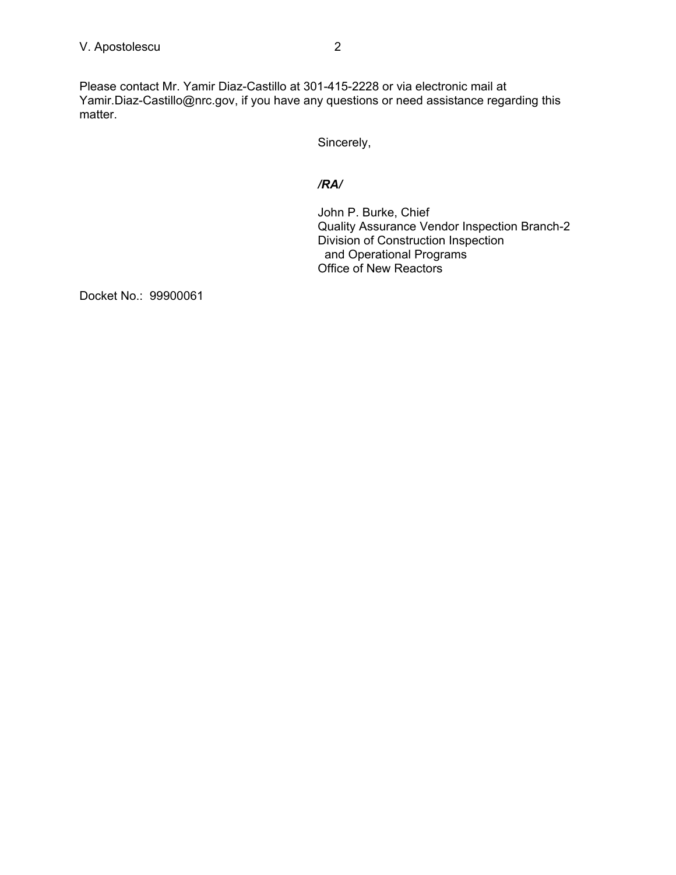Please contact Mr. Yamir Diaz-Castillo at 301-415-2228 or via electronic mail at Yamir.Diaz-Castillo@nrc.gov, if you have any questions or need assistance regarding this matter.

Sincerely,

# */RA/*

John P. Burke, Chief Quality Assurance Vendor Inspection Branch-2 Division of Construction Inspection and Operational Programs Office of New Reactors

Docket No.: 99900061